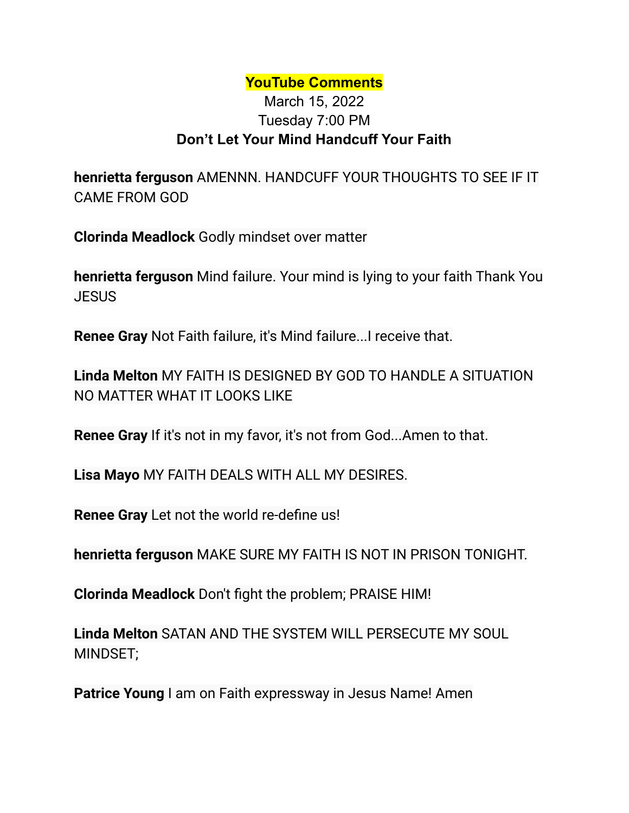## **YouTube Comments**

## March 15, 2022 Tuesday 7:00 PM **Don't Let Your Mind Handcuff Your Faith**

**henrietta ferguson** AMENNN. HANDCUFF YOUR THOUGHTS TO SEE IF IT CAME FROM GOD

**Clorinda Meadlock** Godly mindset over matter

**henrietta ferguson** Mind failure. Your mind is lying to your faith Thank You JESUS

**Renee Gray** Not Faith failure, it's Mind failure...I receive that.

**Linda Melton** MY FAITH IS DESIGNED BY GOD TO HANDLE A SITUATION NO MATTER WHAT IT LOOKS LIKE

**Renee Gray** If it's not in my favor, it's not from God...Amen to that.

**Lisa Mayo** MY FAITH DEALS WITH ALL MY DESIRES.

**Renee Gray** Let not the world re-define us!

**henrietta ferguson** MAKE SURE MY FAITH IS NOT IN PRISON TONIGHT.

**Clorinda Meadlock** Don't fight the problem; PRAISE HIM!

**Linda Melton** SATAN AND THE SYSTEM WILL PERSECUTE MY SOUL MINDSET;

**Patrice Young** I am on Faith expressway in Jesus Name! Amen